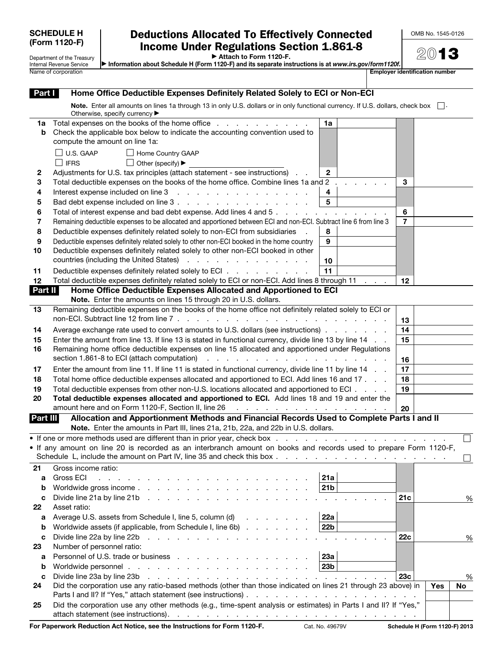| <b>SCHEDULE H</b> |
|-------------------|
| (Form 1120-F)     |

Department of the Treasury Internal Revenue Service<br>Name of corporation

## Deductions Allocated To Effectively Connected Income Under Regulations Section 1.861-8

OMB No. 1545-0126

▶ Attach to Form 1120-F.

▶ Information about Schedule H (Form 1120-F) and its separate instructions is at *www.irs.gov/form1120f.* **Employer identification number** 

| Part I   | Home Office Deductible Expenses Definitely Related Solely to ECI or Non-ECI                                                                                                                                                                                                   |                |     |      |
|----------|-------------------------------------------------------------------------------------------------------------------------------------------------------------------------------------------------------------------------------------------------------------------------------|----------------|-----|------|
|          | Note. Enter all amounts on lines 1a through 13 in only U.S. dollars or in only functional currency. If U.S. dollars, check box $\Box$ .<br>Otherwise, specify currency ▶                                                                                                      |                |     |      |
| 1a       | Total expenses on the books of the home office<br>1a                                                                                                                                                                                                                          |                |     |      |
| b        | Check the applicable box below to indicate the accounting convention used to                                                                                                                                                                                                  |                |     |      |
|          | compute the amount on line 1a:                                                                                                                                                                                                                                                |                |     |      |
|          | U.S. GAAP<br>Home Country GAAP                                                                                                                                                                                                                                                |                |     |      |
|          | $\vert$ IFRS<br>⊔<br>Other (specify) ▶                                                                                                                                                                                                                                        |                |     |      |
| 2        | Adjustments for U.S. tax principles (attach statement - see instructions)<br>$\mathbf{2}$                                                                                                                                                                                     |                |     |      |
| 3        | Total deductible expenses on the books of the home office. Combine lines 1a and 2                                                                                                                                                                                             | 3              |     |      |
| 4        | 4<br>Interest expense included on line 3<br>and the contract of the contract of the contract of the contract of the contract of the contract of the contract of the contract of the contract of the contract of the contract of the contract of the contract of the contra    |                |     |      |
| 5        | $\overline{\mathbf{5}}$                                                                                                                                                                                                                                                       |                |     |      |
| 6        | Total of interest expense and bad debt expense. Add lines 4 and 5                                                                                                                                                                                                             | 6              |     |      |
| 7        | Remaining deductible expenses to be allocated and apportioned between ECI and non-ECI. Subtract line 6 from line 3                                                                                                                                                            | $\overline{7}$ |     |      |
| 8        | Deductible expenses definitely related solely to non-ECI from subsidiaries<br>8                                                                                                                                                                                               |                |     |      |
| 9        | Deductible expenses definitely related solely to other non-ECI booked in the home country<br>9                                                                                                                                                                                |                |     |      |
| 10       | Deductible expenses definitely related solely to other non-ECI booked in other                                                                                                                                                                                                |                |     |      |
|          | countries (including the United States)<br>the contract of the contract of the contract of<br>10                                                                                                                                                                              |                |     |      |
| 11       | 11<br>Deductible expenses definitely related solely to ECI                                                                                                                                                                                                                    |                |     |      |
| 12       | Total deductible expenses definitely related solely to ECI or non-ECI. Add lines 8 through 11                                                                                                                                                                                 | 12             |     |      |
| Part II  | Home Office Deductible Expenses Allocated and Apportioned to ECI                                                                                                                                                                                                              |                |     |      |
|          | Note. Enter the amounts on lines 15 through 20 in U.S. dollars.                                                                                                                                                                                                               |                |     |      |
| 13       | Remaining deductible expenses on the books of the home office not definitely related solely to ECI or                                                                                                                                                                         |                |     |      |
|          | non-ECI. Subtract line 12 from line 7.                                                                                                                                                                                                                                        |                |     |      |
|          |                                                                                                                                                                                                                                                                               | 13             |     |      |
| 14       | Average exchange rate used to convert amounts to U.S. dollars (see instructions)                                                                                                                                                                                              | 14             |     |      |
| 15       | Enter the amount from line 13. If line 13 is stated in functional currency, divide line 13 by line 14                                                                                                                                                                         | 15             |     |      |
| 16       | Remaining home office deductible expenses on line 15 allocated and apportioned under Regulations                                                                                                                                                                              |                |     |      |
|          | section 1.861-8 to ECI (attach computation)<br>and the contract of the contract of the contract of the contract of the contract of the contract of the contract of the contract of the contract of the contract of the contract of the contract of the contract of the contra | 16             |     |      |
| 17       | Enter the amount from line 11. If line 11 is stated in functional currency, divide line 11 by line 14                                                                                                                                                                         | 17             |     |      |
| 18       | Total home office deductible expenses allocated and apportioned to ECI. Add lines 16 and 17                                                                                                                                                                                   | 18             |     |      |
| 19       | Total deductible expenses from other non-U.S. locations allocated and apportioned to ECI                                                                                                                                                                                      | 19             |     |      |
| 20       | Total deductible expenses allocated and apportioned to ECI. Add lines 18 and 19 and enter the                                                                                                                                                                                 |                |     |      |
|          | amount here and on Form 1120-F, Section II, line 26<br>والمتعاون والمتعاون والمتعاون والمتعاون والمتعاون                                                                                                                                                                      | 20             |     |      |
| Part III | Allocation and Apportionment Methods and Financial Records Used to Complete Parts I and II                                                                                                                                                                                    |                |     |      |
|          | Note. Enter the amounts in Part III, lines 21a, 21b, 22a, and 22b in U.S. dollars.                                                                                                                                                                                            |                |     |      |
|          | • If one or more methods used are different than in prior year, check box                                                                                                                                                                                                     |                |     |      |
|          | • If any amount on line 20 is recorded as an interbranch amount on books and records used to prepare Form 1120-F,                                                                                                                                                             |                |     |      |
|          | Schedule L, include the amount on Part IV, line 35 and check this box                                                                                                                                                                                                         |                |     |      |
| 21       | Gross income ratio:                                                                                                                                                                                                                                                           |                |     |      |
| a        | 21a<br>Gross ECI<br>.                                                                                                                                                                                                                                                         |                |     |      |
| b        | 21 <sub>b</sub>                                                                                                                                                                                                                                                               |                |     |      |
| c        | Divide line 21a by line 21b $\ldots$ $\ldots$ $\ldots$ $\ldots$ $\ldots$ $\ldots$                                                                                                                                                                                             | 21c            |     | $\%$ |
| 22       | Asset ratio:                                                                                                                                                                                                                                                                  |                |     |      |
| a        | 22a<br>Average U.S. assets from Schedule I, line 5, column (d)<br>and a straight and                                                                                                                                                                                          |                |     |      |
| b        | 22 <sub>b</sub><br>Worldwide assets (if applicable, from Schedule I, line 6b)                                                                                                                                                                                                 |                |     |      |
| c        | Divide line 22a by line 22b<br>and the contract of the contract of the                                                                                                                                                                                                        | 22c            |     | %    |
| 23       | Number of personnel ratio:                                                                                                                                                                                                                                                    |                |     |      |
|          | 23a<br>Personnel of U.S. trade or business                                                                                                                                                                                                                                    |                |     |      |
| a        |                                                                                                                                                                                                                                                                               |                |     |      |
| b        | 23 <sub>b</sub>                                                                                                                                                                                                                                                               |                |     |      |
| c        | Divide line 23a by line 23b $\ldots$ $\ldots$ $\ldots$ $\ldots$ $\ldots$ $\ldots$ $\ldots$ $\ldots$ $\ldots$                                                                                                                                                                  | 23c            |     | %    |
| 24       | Did the corporation use any ratio-based methods (other than those indicated on lines 21 through 23 above) in                                                                                                                                                                  |                | Yes | No   |
| 25       | Did the corporation use any other methods (e.g., time-spent analysis or estimates) in Parts I and II? If "Yes,"                                                                                                                                                               |                |     |      |

For Paperwork Reduction Act Notice, see the Instructions for Form 1120-F. Cat. No. 49679V Schedule H (Form 1120-F) 2013